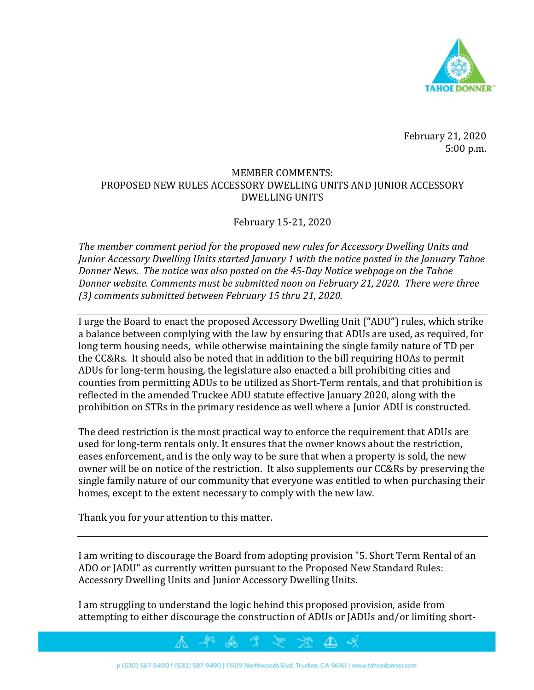

February 21, 2020 5:00 p.m.

## MEMBER COMMENTS: PROPOSED NEW RULES ACCESSORY DWELLING UNITS AND JUNIOR ACCESSORY DWELLING UNITS

## February 15-21, 2020

*The member comment period for the proposed new rules for Accessory Dwelling Units and Junior Accessory Dwelling Units started January 1 with the notice posted in the January Tahoe Donner News. The notice was also posted on the 45-Day Notice webpage on the Tahoe Donner website. Comments must be submitted noon on February 21, 2020. There were three (3) comments submitted between February 15 thru 21, 2020.* 

I urge the Board to enact the proposed Accessory Dwelling Unit ("ADU") rules, which strike a balance between complying with the law by ensuring that ADUs are used, as required, for long term housing needs, while otherwise maintaining the single family nature of TD per the CC&Rs. It should also be noted that in addition to the bill requiring HOAs to permit ADUs for long-term housing, the legislature also enacted a bill prohibiting cities and counties from permitting ADUs to be utilized as Short-Term rentals, and that prohibition is reflected in the amended Truckee ADU statute effective January 2020, along with the prohibition on STRs in the primary residence as well where a Junior ADU is constructed.

The deed restriction is the most practical way to enforce the requirement that ADUs are used for long-term rentals only. It ensures that the owner knows about the restriction, eases enforcement, and is the only way to be sure that when a property is sold, the new owner will be on notice of the restriction. It also supplements our CC&Rs by preserving the single family nature of our community that everyone was entitled to when purchasing their homes, except to the extent necessary to comply with the new law.

Thank you for your attention to this matter.

I am writing to discourage the Board from adopting provision "5. Short Term Rental of an ADO or JADU" as currently written pursuant to the Proposed New Standard Rules: Accessory Dwelling Units and Junior Accessory Dwelling Units.

I am struggling to understand the logic behind this proposed provision, aside from attempting to either discourage the construction of ADUs or JADUs and/or limiting short-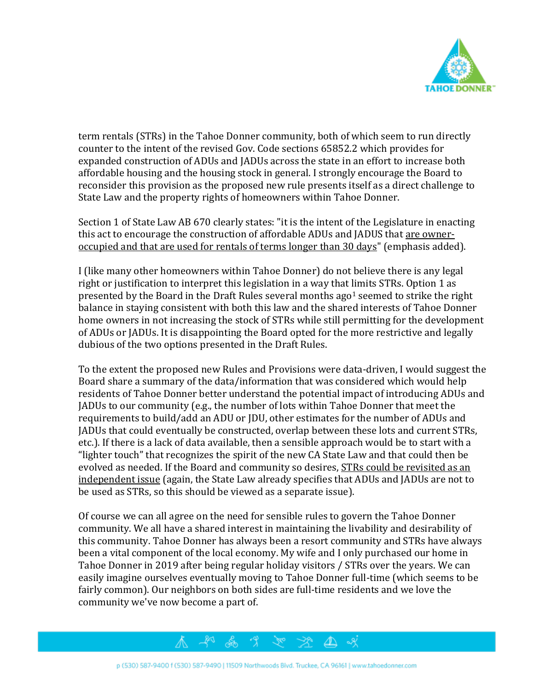

term rentals (STRs) in the Tahoe Donner community, both of which seem to run directly counter to the intent of the revised Gov. Code sections 65852.2 which provides for expanded construction of ADUs and JADUs across the state in an effort to increase both affordable housing and the housing stock in general. I strongly encourage the Board to reconsider this provision as the proposed new rule presents itself as a direct challenge to State Law and the property rights of homeowners within Tahoe Donner.

Section 1 of State Law AB 670 clearly states: "it is the intent of the Legislature in enacting this act to encourage the construction of affordable ADUs and JADUS that are owneroccupied and that are used for rentals of terms longer than 30 days" (emphasis added).

I (like many other homeowners within Tahoe Donner) do not believe there is any legal right or justification to interpret this legislation in a way that limits STRs. Option 1 as presented by the Board in the Draft Rules several months ago<sup>1</sup> seemed to strike the right balance in staying consistent with both this law and the shared interests of Tahoe Donner home owners in not increasing the stock of STRs while still permitting for the development of ADUs or JADUs. It is disappointing the Board opted for the more restrictive and legally dubious of the two options presented in the Draft Rules.

To the extent the proposed new Rules and Provisions were data-driven, I would suggest the Board share a summary of the data/information that was considered which would help residents of Tahoe Donner better understand the potential impact of introducing ADUs and JADUs to our community (e.g., the number of lots within Tahoe Donner that meet the requirements to build/add an ADU or JDU, other estimates for the number of ADUs and JADUs that could eventually be constructed, overlap between these lots and current STRs, etc.). If there is a lack of data available, then a sensible approach would be to start with a "lighter touch" that recognizes the spirit of the new CA State Law and that could then be evolved as needed. If the Board and community so desires, STRs could be revisited as an independent issue (again, the State Law already specifies that ADUs and JADUs are not to be used as STRs, so this should be viewed as a separate issue).

Of course we can all agree on the need for sensible rules to govern the Tahoe Donner community. We all have a shared interest in maintaining the livability and desirability of this community. Tahoe Donner has always been a resort community and STRs have always been a vital component of the local economy. My wife and I only purchased our home in Tahoe Donner in 2019 after being regular holiday visitors / STRs over the years. We can easily imagine ourselves eventually moving to Tahoe Donner full-time (which seems to be fairly common). Our neighbors on both sides are full-time residents and we love the community we've now become a part of.



& x